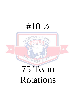# #10 ½

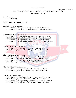# 2021 Wrangler/Professional's Choice ACTRA National Finals Participants Listing

Events Included: **#10 1/2 Handicap**

# **Total Teams in Event(s):** 201

# **Alex Vigil:** (#2.5 header, #2.5 heeler)

#10 1/2 Handicap, Heading for Justin Vigil (2) . Team 181, Rotation 3.

#10 1/2 Handicap, Heading for Tucker Alexander (3) . Team 194, Rotation 3.

# Anival Guerrero: (#4.5 header, #5 heeler)

#10 1/2 Handicap, Heeling for Denton Williams (3). Team 59, Rotation 1.

#10 1/2 Handicap, Heeling for Jeremy Simonich (4). Team 85, Rotation 2.

#10 1/2 Handicap, Heeling for Blair Wheatley (3.5). Team 121, Rotation 2.

#10 1/2 Handicap, Heeling for Ryan Bettencourt (3.5). Team 162, Rotation 3.

# **Anselmo Ramirez:** (#4 header, #5 heeler)

#10 1/2 Handicap, Heeling for Roy Branco (4) . Team 79, Rotation 2. #10 1/2 Handicap, Heeling for Karen Dias (3) . Team 105, Rotation 2.

# **Asher Freeman:** (#4 header, #5.5 heeler)

#10 1/2 Handicap, Heeling for Mackay Spyrow (4). Team 5, Rotation 1.

#10 1/2 Handicap, Heeling for Caden Lehman (4.5) . Team 31, Rotation 1.

#10 1/2 Handicap, Heeling for Justin Fowden (4.5) . Team 51, Rotation 1.

#10 1/2 Handicap, Heeling for Gene Harry (4.5). Team 82, Rotation 2.

# **Bailey Kretschmer:** (#3 header, #2 heeler)

#10 1/2 Handicap, Heading for Bill Finks (6) . Team 90, Rotation 2.

#10 1/2 Handicap, Heading for Mike Johns (5) . Team 117, Rotation 2.

# **Bill Finks:** (#4.5 header, #6 heeler)

#10 1/2 Handicap, Heeling for Brayden Grashuis (3) . Team 30, Rotation 1.

#10 1/2 Handicap, Heeling for Keith Johnson (3) . Team 61, Rotation 1.

#10 1/2 Handicap, Heeling for Bailey Kretschmer (3) . Team 90, Rotation 2.

#10 1/2 Handicap, Heeling for Mackay Spyrow (4) . Team 116, Rotation 2.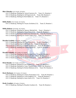# **Blair Wheatley:** (#3.5 header, #4 heeler)

#10 1/2 Handicap, Heading for Anival Guerrero (5) . Team 121, Rotation 2.

#10 1/2 Handicap, Heading for Jeff Sparrowk (4) . Team 166, Rotation 3.

#10 1/2 Handicap, Heeling for Rich Bakke (3) . Team 175, Rotation 3.

# **Bobby Butler:** (#2.5 header, #2.5 heeler)

#10 1/2 Handicap, Heeling for Terynn Archuleta (3.5) . Team 25, Rotation 1.

# **Bobby Roberts:** (#4 header, #4.5 heeler)

#10 1/2 Handicap, Heading for Spencer Mitchell (6) . Team 1, Rotation 1.

#10 1/2 Handicap, Heeling for Tyson Perez (3.5) . Team 46, Rotation 1.

#10 1/2 Handicap, Heeling for McKennan Buckner (4). Team 80, Rotation 2.

#10 1/2 Handicap, Heading for Tristan Luther (4.5). Team 114, Rotation 2.

# Brayden Grashuis: (#3 header, #3 heeler)

#10 1/2 Handicap, Heading for Clint Felton (4.5). Team 8, Rotation 1.

#10 1/2 Handicap, Heading for Bill Finks (6) . Team 30, Rotation 1.

#10 1/2 Handicap, Heading for Brody Grashuis (2) . Team 58, Rotation 1.

#10 1/2 Handicap, Heading for Garrett Jepson (5). Team 91, Rotation 2.

# **Brayden Schmidt:** (#4.5 header, #5.5 heeler)

#10 1/2 Handicap, Heading for Dan Holland (5.5). Team 65, Rotation 1. #10 1/2 Handicap, Heading for Jason Duby (6). Team 189, Rotation 3.

#10 1/2 Handicap, Heading for Daniel Green (5.5) . Team 200, Rotation 3.

# **Brian Roundy:** (#2.5 header, #5 heeler)

#10 1/2 Handicap, Heeling for Jace Hanks (3.5) . Team 127, Rotation 2. #10 1/2 Handicap, Heeling for Casey Thomas (4.5) . Team 146, Rotation 2. #10 1/2 Handicap, Heeling for Kelson Robinson (4.5) . Team 192, Rotation 3.

# Brock Borkman: (#3.5 header, #3.5 heeler)

#10 1/2 Handicap, Heeling for Chance Kretschmer (3.5) . Team 40, Rotation 1. #10 1/2 Handicap, Heeling for Curtis English (3.5) . Team 84, Rotation 2.

#10 1/2 Handicap, Heeling for Jason Jones (3.5) . Team 122, Rotation 2.

# **Brody Grashuis:** (#2 header, #2 heeler)

#10 1/2 Handicap, Heeling for Brayden Grashuis (3) . Team 58, Rotation 1.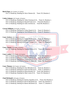# Butch Pope:  $(\text{\#1.5} \text{ header}, \text{\#1.5} \text{ header})$

#10 1/2 Handicap, Heading for Steve Simons (4) . Team 135, Rotation 2.

# **Caden Lehman:** (#4.5 header, #4 heeler)

#10 1/2 Handicap, Heading for Asher Freeman (5.5) . Team 31, Rotation 1. #10 1/2 Handicap, Heading for Russell Funk (5.5) . Team 60, Rotation 1.

#10 1/2 Handicap, Heading for Zalin Arritola (5) . Team 89, Rotation 2.

# **Carson Williams:** (#3 header, #3 heeler)

#10 1/2 Handicap, Heeling for Colton Daniel (2.5) . Team 22, Rotation 1.

#10 1/2 Handicap, Heading for Ted Williams (3.5) . Team 47, Rotation 1.

# **Casey Awbrey:** (#4.5 header, #5 heeler)

#10 1/2 Handicap, Heeling for Tanner Patzke (4.5). Team 26, Rotation 1. #10 1/2 Handicap, Heeling for Keith Johnson (3) . Team 92, Rotation 2. #10 1/2 Handicap, Heeling for Preston Young (3.5). Team 172, Rotation 3.

# Casey Glazier: (#4 header, #4 heeler)

#10 1/2 Handicap, Heeling for Clayton Brown (2.5). Team 187, Rotation 3.

# **Casey Ladner:** (#3.5 header, #4.5 heeler)

#10 1/2 Handicap, Heeling for Loralee McKoen (3). Team 39, Rotation 1. #10 1/2 Handicap, Heeling for Marti Anderson (3). Team 69, Rotation 1. #10 1/2 Handicap, Heeling for Clayton Brown (2.5) . Team 153, Rotation 3. #10 1/2 Handicap, Heeling for Sammy Jo Duby (3). Team 184, Rotation 3.

# **Casey Thomas:** (#4.5 header, #4.5 heeler)

#10 1/2 Handicap, Heading for Joao Miranda (5.5) . Team 41, Rotation 1.

#10 1/2 Handicap, Heeling for Justin Fowden (4.5) . Team 73, Rotation 1.

#10 1/2 Handicap, Heading for Brian Roundy (5) . Team 146, Rotation 2.

#10 1/2 Handicap, Heading for Matt Liston (5.5) . Team 155, Rotation 3.

# **Chad McDaniel:** (#4 header, #5 heeler)

#10 1/2 Handicap, Heeling for Sammy Saunders (3.5) . Team 150, Rotation 2.

#10 1/2 Handicap, Heeling for Devon McDaniel (4) . Team 163, Rotation 3.

#10 1/2 Handicap, Heeling for Mason McDaniel (3) . Team 177, Rotation 3.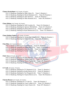# **Chance Kretschmer:** (#3.5 header, #3 heeler)

#10 1/2 Handicap, Heading for Mike Johns (5) . Team 3, Rotation 1.

#10 1/2 Handicap, Heading for Brock Borkman (3.5) . Team 40, Rotation 1.

#10 1/2 Handicap, Heading for Jake Ward (5) . Team 70, Rotation 1.

#10 1/2 Handicap, Heading for Matt Hussman (4.5) . Team 149, Rotation 2.

# **Chase Helton:** (#4.5 header, #4.5 heeler)

#10 1/2 Handicap, Heading for Will Cowden (5) . Team 125, Rotation 2.

#10 1/2 Handicap, Heading for Spencer Mitchell (6) . Team 157, Rotation 3.

#10 1/2 Handicap, Heading for Dusty Bravos (5.5) . Team 171, Rotation 3.

#10 1/2 Handicap, Heeling for Ryan Bettencourt (3.5) . Team 179, Rotation 3.

# **Chase Kahiau Onaka:** (#3.5 header, #3 heeler)

#10 1/2 Handicap, Heading for Stoney Boy Joseph (4.5). Team 18, Rotation 1. #10 1/2 Handicap, Heading for Ethan Awa (5). Team 201, Rotation 3.

# **Chaz Rita:** (#3.5 header, #3 heeler)

#10 1/2 Handicap, Heeling for Levi Rita (3) . Team 93, Rotation 2.

#10 1/2 Handicap, Heading for Robert Rita (2.5). Team 119, Rotation 2.

#10 1/2 Handicap, Heeling for Chris Awa (3). Team 123, Rotation 2.

#10 1/2 Handicap, Heeling for Tucker Gomes (2.5). Team 148, Rotation 2.

# **Chris Awa:** (#3 header, #2 heeler)

#10 1/2 Handicap, Heading for Chaz Rita (3) . Team 123, Rotation 2. #10 1/2 Handicap, Heading for Jimmy Cupit (1) . Team 133, Rotation 2. #10 1/2 Handicap, Heading for Shawn Aguiar (3). Team 165, Rotation 3.

#10 1/2 Handicap, Heading for Ethan Awa (5) . Team 174, Rotation 3.

# **CJ Cash:** (#5 header, #5 heeler)

#10 1/2 Handicap, Heeling for TC Hammack (3.5) . Team 21, Rotation 1.

#10 1/2 Handicap, Heeling for Kolby Bravos (4.5) . Team 45, Rotation 1.

#10 1/2 Handicap, Heeling for Tye Fitzpatrick (4) . Team 71, Rotation 1.

#10 1/2 Handicap, Heeling for Clayton Brown (2.5) . Team 140, Rotation 2.

# **Clayton Brown:** (#2.5 header, #2.5 heeler)

#10 1/2 Handicap, Heading for CJ Cash (5) . Team 140, Rotation 2.

#10 1/2 Handicap, Heading for Casey Ladner (4.5) . Team 153, Rotation 3.

#10 1/2 Handicap, Heading for Casey Glazier (4) . Team 187, Rotation 3.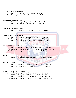# **Cliff Garrison:** (#3 header, #3 heeler)

#10 1/2 Handicap, Heeling for Joseph Rossi (3.5) . Team 81, Rotation 2.

#10 1/2 Handicap, Heeling for Steve Smith (4) . Team 168, Rotation 3.

# **Clint Felton:** (#3.5 header, #4.5 heeler)

#10 1/2 Handicap, Heeling for Brayden Grashuis (3) . Team 8, Rotation 1. #10 1/2 Handicap, Heeling for Tayler Felton (3) . Team 83, Rotation 2.

## **Cobie Dodds:** (#4 header, #3.5 heeler)

#10 1/2 Handicap, Heading for Joao Miranda (5.5) . Team 72, Rotation 1.

# **Cody Cravens:** (#3 header, #2 heeler)

#10 1/2 Handicap, Heading for Jeff Gieck (3.5). Team 144, Rotation 2. #10 1/2 Handicap, Heading for George Schmidt (4) . Team 169, Rotation 3. #10 1/2 Handicap, Heading for Steve Gilson (4.5) . Team 183, Rotation 3.

# **Cole Clement:** (#3 header, #3 heeler)

#10 1/2 Handicap, Heading for Monty Jo Petska (6). Team 38, Rotation 1. #10 1/2 Handicap, Heading for Stoney Boy Joseph (4.5) . Team 68, Rotation 1. #10 1/2 Handicap, Heading for Glen Nelson (4.5) . Team 97, Rotation 2.

# **Cole Dodds:** (#4 header, #4 heeler)

#10 1/2 Handicap, Heeling for McKennan Buckner (4). Team 106, Rotation 2.

# **Colton Daniel:** (#2.5 header, #2.5 heeler)

#10 1/2 Handicap, Heading for Carson Williams (3) . Team 22, Rotation 1. #10 1/2 Handicap, Heading for Ted Williams (3.5) . Team 118, Rotation 2.

# **Curtis English:** (#3.5 header, #3.5 heeler)

#10 1/2 Handicap, Heading for Russell Funk (5.5) . Team 20, Rotation 1.

#10 1/2 Handicap, Heading for Justin Geney (5) . Team 44, Rotation 1.

#10 1/2 Handicap, Heading for Brock Borkman (3.5) . Team 84, Rotation 2.

#10 1/2 Handicap, Heading for Matt Hussman (4.5) . Team 178, Rotation 3.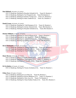# Dan Holland: (#4 header, #5.5 heeler)

#10 1/2 Handicap, Heeling for Brayden Schmidt (4.5) . Team 65, Rotation 1. #10 1/2 Handicap, Heeling for Tye Fitzpatrick (4) . Team 99, Rotation 2. #10 1/2 Handicap, Heeling for Preston Young (3.5) . Team 137, Rotation 2. #10 1/2 Handicap, Heeling for Marti Anderson (3) . Team 161, Rotation 3.

# **Daniel Green:** (#6 header, #5.5 heeler)

#10 1/2 Handicap, Heading for Todd Hampton (5.5) . Team 42, Rotation 1.

#10 1/2 Handicap, Heeling for Jeremy Simonich (4) . Team 180, Rotation 3.

#10 1/2 Handicap, Heeling for Brayden Schmidt (4.5) . Team 200, Rotation 3.

# **Denton Williams:** (#3 header, #3 heeler)

#10 1/2 Handicap, Heading for Noah Williams (4.5) . Team 4, Rotation 1.

#10 1/2 Handicap, Heading for Jake Ward (5) . Team 35, Rotation 1.

#10 1/2 Handicap, Heading for Anival Guerrero (5) . Team 59, Rotation 1.

#10 1/2 Handicap, Heading for Tommy Lee (4.5) . Team 100, Rotation 2.

# Devon McDaniel: (#4 header, #3.5 heeler)

#10 1/2 Handicap, Heading for Sammy Saunders (4) . Team 130, Rotation 2. #10 1/2 Handicap, Heading for Ryan Powell (5) . Team 152, Rotation 3. #10 1/2 Handicap, Heading for Chad McDaniel (5). Team 163, Rotation 3.

# **Dusty Bravos:** (#4 header, #5.5 heeler)

#10 1/2 Handicap, Heeling for Kolby Bravos (4.5). Team 76, Rotation 2.

#10 1/2 Handicap, Heeling for Chase Helton (4.5) . Team 171, Rotation 3.

#10 1/2 Handicap, Heeling for JT Bradley (3.5). Team 182, Rotation 3.

# **Ed Archuleta:** (#3 header, #2.5 heeler)

#10 1/2 Handicap, Heeling for Terynn Archuleta (3.5) . Team 52, Rotation 1.

# **Ethan Awa:** (#3 header, #5 heeler)

#10 1/2 Handicap, Heeling for Levi Rita (3) . Team 64, Rotation 1.

#10 1/2 Handicap, Heeling for Kelvin Medeiros (2.5) . Team 113, Rotation 2.

#10 1/2 Handicap, Heeling for Chris Awa (3) . Team 174, Rotation 3.

#10 1/2 Handicap, Heeling for Chase Kahiau Onaka (3.5) . Team 201, Rotation 3.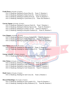# **Frank Perez:** (#4 header, #5 heeler)

#10 1/2 Handicap, Heeling for Karen Dias (3) . Team 17, Rotation 1.

#10 1/2 Handicap, Heeling for Nolan Scott (3) . Team 55, Rotation 1.

#10 1/2 Handicap, Heeling for Nathan Scott (4). Team 74, Rotation 1.

#10 1/2 Handicap, Heeling for Tyson Perez (3.5) . Team 104, Rotation 2.

# Garrett Jepson: (#4 header, #5 heeler)

#10 1/2 Handicap, Heeling for Joseyray Funk (3) . Team 7, Rotation 1.

#10 1/2 Handicap, Heeling for Mackay Spyrow (4) . Team 32, Rotation 1.

#10 1/2 Handicap, Heeling for Tommy Lee (4) . Team 62, Rotation 1.

#10 1/2 Handicap, Heeling for Brayden Grashuis (3) . Team 91, Rotation 2.

# Gary Hepper: (#4 header, #5 heeler)

#10 1/2 Handicap, Heeling for Preston Young (3.5). Team 11, Rotation 1. #10 1/2 Handicap, Heeling for Molly Hepper (3). Team 33, Rotation 1. #10 1/2 Handicap, Heeling for Loralee McKoen (3). Team 111, Rotation 2.

# Gene Harry: (#4.5 header, #4.5 heeler)

#10 1/2 Handicap, Heading for Jake Ward (5) . Team 13, Rotation 1. #10 1/2 Handicap, Heading for Asher Freeman (5.5) . Team 82, Rotation 2.

# **George Schmidt:** (#4 header, #4 heeler)

#10 1/2 Handicap, Heeling for Cody Cravens (3). Team 169, Rotation 3.

# **Glen Nelson:** (#4 header, #4.5 heeler)

#10 1/2 Handicap, Heeling for Jake Raley (3.5). Team 14, Rotation 1. #10 1/2 Handicap, Heeling for Todd York (3.5). Team 36, Rotation 1. #10 1/2 Handicap, Heeling for Jason Jones (3.5) . Team 67, Rotation 1. #10 1/2 Handicap, Heeling for Cole Clement (3) . Team 97, Rotation 2.

# **Hank Curry:** (#3 header, #3 heeler)

#10 1/2 Handicap, Heading for Jack Curry (4) . Team 2, Rotation 1.

# **Howard Hutchings:** (#3.5 header, #3 heeler)

#10 1/2 Handicap, Heading for Scott Lauaki (3.5) . Team 56, Rotation 1.

#10 1/2 Handicap, Heading for Riley Robinson (2.5) . Team 86, Rotation 2.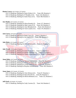# Hunter Lowry: (#3.5 header, #3.5 heeler)

#10 1/2 Handicap, Heeling for Justin Weber (2.5) . Team 109, Rotation 2. #10 1/2 Handicap, Heeling for JT Bradley (3.5) . Team 124, Rotation 2. #10 1/2 Handicap, Heeling for Justin Stacy (3.5) . Team 188, Rotation 3.

# **Jace Hanks:** (#3.5 header, #2.5 heeler)

#10 1/2 Handicap, Heading for Brian Roundy (5) . Team 127, Rotation 2.

#10 1/2 Handicap, Heading for Matt Liston (5.5) . Team 145, Rotation 2.

#10 1/2 Handicap, Heading for Joao Miranda (5.5) . Team 154, Rotation 3.

#10 1/2 Handicap, Heading for Scott Lauaki (3.5) . Team 170, Rotation 3.

**Jack Curry:** (#4 header, #4 heeler)

#10 1/2 Handicap, Heeling for Hank Curry (3) . Team 2, Rotation 1. #10 1/2 Handicap, Heeling for Jim Estill (3.5). Team 108, Rotation 2.

# **Jake Raley:** (#3.5 header, #3.5 heeler)

#10 1/2 Handicap, Heading for Glen Nelson (4.5). Team 14, Rotation 1.

# **Jake Ward:** (#4.5 header, #5 heeler)

#10 1/2 Handicap, Heeling for Gene Harry (4.5). Team 13, Rotation 1. #10 1/2 Handicap, Heeling for Denton Williams (3) . Team 35, Rotation 1. #10 1/2 Handicap, Heeling for Chance Kretschmer (3.5). Team 70, Rotation 1.

# **Jason Duby:** (#4.5 header, #6 heeler)

#10 1/2 Handicap, Heading for Spencer Mitchell (6). Team 66, Rotation 1. #10 1/2 Handicap, Heeling for Sammy Jo Duby (3). Team 95, Rotation 2. #10 1/2 Handicap, Heeling for Loralee McKoen (3). Team 167, Rotation 3. #10 1/2 Handicap, Heeling for Brayden Schmidt (4.5) . Team 189, Rotation 3.

# **Jason Jones:** (#3.5 header, #3.5 heeler)

#10 1/2 Handicap, Heading for Glen Nelson (4.5) . Team 67, Rotation 1.

#10 1/2 Handicap, Heading for Ryan Powell (5) . Team 96, Rotation 2.

#10 1/2 Handicap, Heading for Brock Borkman (3.5) . Team 122, Rotation 2.

# **Jeff Gieck:** (#3 header, #3.5 heeler)

#10 1/2 Handicap, Heeling for Cody Cravens (3) . Team 144, Rotation 2.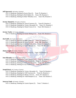# **Jeff Sparrowk:** (#4 header, #4 heeler)

#10 1/2 Handicap, Heeling for Karen Dias (3) . Team 78, Rotation 2.

#10 1/2 Handicap, Heeling for Rich Bakke (3) . Team 138, Rotation 2.

#10 1/2 Handicap, Heeling for Blair Wheatley (3.5) . Team 166, Rotation 3.

# **Jeremy Simonich:** (#4 header, #4 heeler)

#10 1/2 Handicap, Heading for Anival Guerrero (5) . Team 85, Rotation 2.

#10 1/2 Handicap, Heading for Tucker Alexander (3) . Team 131, Rotation 2.

#10 1/2 Handicap, Heading for Daniel Green (5.5) . Team 180, Rotation 3.

# **Jeremy Taylor:** (#2 header, #2 heeler)

#10 1/2 Handicap, Heading for Kesler Riding (3.5). Team 195, Rotation 3.

# **Jim Estill:** (#3.5 header, #2.5 heeler)

#10 1/2 Handicap, Heading for Mike Johns (5). Team 24, Rotation 1.

#10 1/2 Handicap, Heading for Jack Curry (4). Team 108, Rotation 2.

#10 1/2 Handicap, Heading for Russell Funk (5.5). Team 129, Rotation 2.

#10 1/2 Handicap, Heading for Travis Stewart (5). Team 142, Rotation 2.

# **Jimmy Cupit:** (#1 header, #1 heeler)

#10 1/2 Handicap, Heeling for Chris Awa (3) . Team 133, Rotation 2.

# **Joao Miranda:** (#3.5 header, #5.5 heeler)

#10 1/2 Handicap, Heeling for Casey Thomas (4.5) . Team 41, Rotation 1. #10 1/2 Handicap, Heeling for Cobie Dodds (4). Team 72, Rotation 1. #10 1/2 Handicap, Heeling for Justin Fowden (4.5) . Team 101, Rotation 2. #10 1/2 Handicap, Heeling for Jace Hanks (3.5) . Team 154, Rotation 3.

# **Joseph Rossi:** (#3.5 header, #2 heeler)

#10 1/2 Handicap, Heading for Tucker Alexander (3) . Team 50, Rotation 1.

#10 1/2 Handicap, Heading for Cliff Garrison (3) . Team 81, Rotation 2.

#10 1/2 Handicap, Heading for Monty Crist (5) . Team 107, Rotation 2.

#10 1/2 Handicap, Heading for Todd Hampton (5.5) . Team 158, Rotation 3.

# **Joseyray Funk:** (#3 header, #2 heeler)

#10 1/2 Handicap, Heading for Garrett Jepson (5) . Team 7, Rotation 1.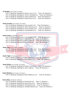# **JT Bradley:** (#3.5 header, #2 heeler)

#10 1/2 Handicap, Heading for Hunter Lowry (3.5) . Team 124, Rotation 2. #10 1/2 Handicap, Heading for Tucker Alexander (3) . Team 143, Rotation 2.

#10 1/2 Handicap, Heading for Tanner Smith (4.5) . Team 159, Rotation 3.

#10 1/2 Handicap, Heading for Dusty Bravos (5.5) . Team 182, Rotation 3.

#### **Justin Fowden:** (#4.5 header, #3.5 heeler)

#10 1/2 Handicap, Heading for Scott Lauaki (3.5) . Team 28, Rotation 1.

#10 1/2 Handicap, Heading for Asher Freeman (5.5) . Team 51, Rotation 1.

#10 1/2 Handicap, Heading for Casey Thomas (4.5) . Team 73, Rotation 1.

#10 1/2 Handicap, Heading for Joao Miranda (5.5) . Team 101, Rotation 2.

# **Justin Geney:** (#4 header, #5 heeler)

#10 1/2 Handicap, Heeling for Curtis English (3.5). Team 44, Rotation 1.

#10 1/2 Handicap, Heeling for Todd York (3.5). Team 75, Rotation 1.

#10 1/2 Handicap, Heeling for Travis Thom (4). Team 103, Rotation 2.

#10 1/2 Handicap, Heeling for Steve Smith (4). Team 186, Rotation 3.

# **Justin Stacy:** (#3.5 header, #3 heeler)

#10 1/2 Handicap, Heading for Tristan Luther (4.5) . Team 88, Rotation 2. #10 1/2 Handicap, Heading for Hunter Lowry (3.5). Team 188, Rotation 3.

# **Justin Vigil:** (#2 header, #2 heeler)

#10 1/2 Handicap, Heeling for Alex Vigil (2.5). Team 181, Rotation 3. #10 1/2 Handicap, Heeling for Justin Weber (2.5). Team 196, Rotation 3.

# **Justin Weber:** (#2.5 header, #2.5 heeler)

#10 1/2 Handicap, Heading for Hunter Lowry (3.5) . Team 109, Rotation 2. #10 1/2 Handicap, Heading for Justin Vigil (2) . Team 196, Rotation 3.

# **Kalia Medeiros:** (#2 header, #1.5 heeler)

#10 1/2 Handicap, Heading for Kelly Medeiros (2.5) . Team 29, Rotation 1.

# **Karen Dias:** (#3 header, #2 heeler)

#10 1/2 Handicap, Heading for Frank Perez (5) . Team 17, Rotation 1.

#10 1/2 Handicap, Heading for Kevin Dias (3.5) . Team 53, Rotation 1.

#10 1/2 Handicap, Heading for Jeff Sparrowk (4) . Team 78, Rotation 2.

#10 1/2 Handicap, Heading for Anselmo Ramirez (5) . Team 105, Rotation 2.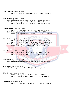**Keith Erickson:** (#3 header, #3 heeler)

#10 1/2 Handicap, Heading for Rhett Kennedy (5.5) . Team 49, Rotation 1.

# **Keith Johnson:** (#3 header, #3 heeler)

#10 1/2 Handicap, Heading for Travis Stewart (5) . Team 19, Rotation 1.

#10 1/2 Handicap, Heading for Bill Finks (6) . Team 61, Rotation 1.

#10 1/2 Handicap, Heading for Casey Awbrey (5) . Team 92, Rotation 2.

# **Kelly Medeiros:** (#2 header, #2.5 heeler)

#10 1/2 Handicap, Heeling for Kalia Medeiros (2) . Team 29, Rotation 1.

#10 1/2 Handicap, Heeling for Kelvin Medeiros (2.5) . Team 87, Rotation 2.

#10 1/2 Handicap, Heeling for Whitney Mitchell (2.5). Team 115, Rotation 2.

# **Kelson Robinson:** (#4.5 header, #2 heeler)

#10 1/2 Handicap, Heading for Riley Robinson (2.5) . Team 134, Rotation 2.

#10 1/2 Handicap, Heading for Monty Jo Petska (6). Team 164, Rotation 3.

#10 1/2 Handicap, Heading for Matt Liston (5.5) . Team 173, Rotation 3.

#10 1/2 Handicap, Heading for Brian Roundy (5). Team 192, Rotation 3.

# **Kelvin Medeiros:** (#2.5 header, #2.5 heeler)

#10 1/2 Handicap, Heading for Kelly Medeiros (2.5). Team 87, Rotation 2. #10 1/2 Handicap, Heading for Ethan Awa (5). Team 113, Rotation 2.

# **Kesler Riding:** (#3.5 header, #3.5 heeler)

#10 1/2 Handicap, Heeling for Jeremy Taylor (2). Team 195, Rotation 3.

# **Kevin Dias:** (#3.5 header, #3.5 heeler)

#10 1/2 Handicap, Heeling for Karen Dias (3) . Team 53, Rotation 1.

# **Kolby Bravos:** (#4.5 header, #4.5 heeler)

#10 1/2 Handicap, Heading for CJ Cash (5) . Team 45, Rotation 1.

#10 1/2 Handicap, Heading for Dusty Bravos (5.5) . Team 76, Rotation 2.

# Lee Legasey: (#2 header, #2 heeler)

#10 1/2 Handicap, Heeling for Mark Moreland (2.5) . Team 126, Rotation 2.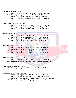# Levi Rita: (#3 header, #2.5 heeler)

#10 1/2 Handicap, Heading for Robert Rita (2.5) . Team 34, Rotation 1.

#10 1/2 Handicap, Heading for Ethan Awa (5) . Team 64, Rotation 1.

#10 1/2 Handicap, Heading for Chaz Rita (3) . Team 93, Rotation 2.

#10 1/2 Handicap, Heading for Shawn Aguiar (3) . Team 147, Rotation 2.

# Loralee McKoen: (#3 header, #2 heeler)

#10 1/2 Handicap, Heading for Casey Ladner (4.5) . Team 39, Rotation 1.

#10 1/2 Handicap, Heading for Gary Hepper (5) . Team 111, Rotation 2.

#10 1/2 Handicap, Heading for Jason Duby (6) . Team 167, Rotation 3.

# **Mackay Spyrow:** (#4 header, #4.5 heeler)

#10 1/2 Handicap, Heading for Asher Freeman (5.5) . Team 5, Rotation 1.

#10 1/2 Handicap, Heading for Garrett Jepson (5). Team 32, Rotation 1.

#10 1/2 Handicap, Heading for Mike Johns (5). Team 63, Rotation 1.

#10 1/2 Handicap, Heading for Bill Finks (6) . Team 116, Rotation 2.

# Mark Moreland: (#2.5 header, #1.5 heeler)

#10 1/2 Handicap, Heading for Lee Legasey (2). Team 126, Rotation 2. #10 1/2 Handicap, Heading for TBA TBA (1). Team 156, Rotation 3. #10 1/2 Handicap, Heading for TBA TBA (1). Team 190, Rotation 3. #10 1/2 Handicap, Heading for TBA TBA (1) . Team 199, Rotation 3.

# **Marti Anderson:** (#3 header, #2 heeler)

#10 1/2 Handicap, Heading for Casey Ladner (4.5) . Team 69, Rotation 1. #10 1/2 Handicap, Heading for Dan Holland (5.5). Team 161, Rotation 3.

## **Mason McDaniel:** (#3 header, #2 heeler)

#10 1/2 Handicap, Heading for Chad McDaniel (5) . Team 177, Rotation 3.

# **Matt Hussman:** (#4.5 header, #4.5 heeler)

#10 1/2 Handicap, Heeling for Travis Thom (4) . Team 128, Rotation 2.

#10 1/2 Handicap, Heeling for Tye Fitzpatrick (4) . Team 139, Rotation 2.

#10 1/2 Handicap, Heeling for Chance Kretschmer (3.5) . Team 149, Rotation 2.

#10 1/2 Handicap, Heeling for Curtis English (3.5) . Team 178, Rotation 3.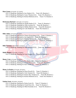# **Matt Liston:** (#3 header, #5.5 heeler)

#10 1/2 Handicap, Heeling for Jace Hanks (3.5) . Team 145, Rotation 2.

#10 1/2 Handicap, Heeling for Casey Thomas (4.5) . Team 155, Rotation 3.

#10 1/2 Handicap, Heeling for Kelson Robinson (4.5) . Team 173, Rotation 3.

## **McKennan Buckner:** (#4 header, #3.5 heeler)

#10 1/2 Handicap, Heading for Quade Patzke (5.5) . Team 23, Rotation 1.

#10 1/2 Handicap, Heading for Zalin Arritola (5) . Team 48, Rotation 1.

#10 1/2 Handicap, Heading for Bobby Roberts (4.5) . Team 80, Rotation 2.

#10 1/2 Handicap, Heading for Cole Dodds (4) . Team 106, Rotation 2.

# **Mike Johns:** (#4 header, #5 heeler)

#10 1/2 Handicap, Heeling for Chance Kretschmer (3.5) . Team 3, Rotation 1.

#10 1/2 Handicap, Heeling for Jim Estill (3.5) . Team 24, Rotation 1.

#10 1/2 Handicap, Heeling for Mackay Spyrow (4). Team 63, Rotation 1.

#10 1/2 Handicap, Heeling for Bailey Kretschmer (3). Team 117, Rotation 2.

# **Mike Sweeney:** (#2.5 header, #2 heeler)

#10 1/2 Handicap, Heading for Seth Sweeney (2.5). Team 141, Rotation 2.

# **Molly Hepper:** (#3 header, #3 heeler)

#10 1/2 Handicap, Heading for Gary Hepper (5). Team 33, Rotation 1.

# **Monty Crist:** (#5 header, #5 heeler)

#10 1/2 Handicap, Heeling for Roy Branco (4). Team 16, Rotation 1.

#10 1/2 Handicap, Heeling for Joseph Rossi (3.5) . Team 107, Rotation 2.

#10 1/2 Handicap, Heeling for Steve Smith (4). Team 197, Rotation 3.

# **Monty Jo Petska:** (#5 header, #6 heeler)

#10 1/2 Handicap, Heading for Ryan Powell (5) . Team 15, Rotation 1.

#10 1/2 Handicap, Heeling for Cole Clement (3) . Team 38, Rotation 1.

#10 1/2 Handicap, Heeling for Stoney Boy Joseph (3.5) . Team 98, Rotation 2.

#10 1/2 Handicap, Heeling for Kelson Robinson (4.5) . Team 164, Rotation 3.

# Nathan Scott: (#4 header, #4 heeler)

#10 1/2 Handicap, Heeling for Nolan Scott (3) . Team 27, Rotation 1.

#10 1/2 Handicap, Heading for Frank Perez (5) . Team 74, Rotation 1.

#10 1/2 Handicap, Heading for Rhett Kennedy (5.5) . Team 94, Rotation 2.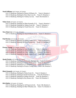# **Noah Williams:** (#4.5 header, #4.5 heeler)

#10 1/2 Handicap, Heeling for Denton Williams (3) . Team 4, Rotation 1. #10 1/2 Handicap, Heeling for Nora Hunt Lee (3) . Team 57, Rotation 1. #10 1/2 Handicap, Heeling for Tommy Lee (4). Team 160, Rotation 3.

#### **Nolan Scott:** (#3 header, #2.5 heeler)

#10 1/2 Handicap, Heading for Rhett Kennedy (5.5) . Team 6, Rotation 1.

#10 1/2 Handicap, Heading for Nathan Scott (4) . Team 27, Rotation 1.

#10 1/2 Handicap, Heading for Frank Perez (5) . Team 55, Rotation 1.

# **Nora Hunt Lee:** (#3 header, #2 heeler)

#10 1/2 Handicap, Heading for Noah Williams (4.5) . Team 57, Rotation 1.

# Paul Devine: (#2.5 header, #2.5 heeler)

#10 1/2 Handicap, Heading for Tristan Luther (4.5). Team 9, Rotation 1. #10 1/2 Handicap, Heading for Rick Fausone (4). Team 112, Rotation 2.

# **Preston Young:** (#3.5 header, #3 heeler)

#10 1/2 Handicap, Heading for Gary Hepper (5). Team 11, Rotation 1. #10 1/2 Handicap, Heading for Dan Holland (5.5). Team 137, Rotation 2. #10 1/2 Handicap, Heading for Casey Awbrey (5) . Team 172, Rotation 3. #10 1/2 Handicap, Heading for Quade Patzke (5.5). Team 198, Rotation 3.

# **Quade Patzke:** (#5.5 header, #5.5 heeler)

#10 1/2 Handicap, Heeling for McKennan Buckner (4). Team 23, Rotation 1. #10 1/2 Handicap, Heeling for Tanner Patzke (4.5). Team 54, Rotation 1. #10 1/2 Handicap, Heeling for TC Hammack (3.5) . Team 110, Rotation 2. #10 1/2 Handicap, Heeling for Preston Young (3.5) . Team 198, Rotation 3.

# **Rhett Kennedy:** (#4.5 header, #5.5 heeler)

#10 1/2 Handicap, Heeling for Nolan Scott (3) . Team 6, Rotation 1.

#10 1/2 Handicap, Heeling for Keith Erickson (3) . Team 49, Rotation 1.

#10 1/2 Handicap, Heeling for Nathan Scott (4) . Team 94, Rotation 2.

#10 1/2 Handicap, Heeling for Roy Branco (4) . Team 120, Rotation 2.

# **Rich Bakke:** (#3 header, #2.5 heeler)

#10 1/2 Handicap, Heading for Jeff Sparrowk (4) . Team 138, Rotation 2.

#10 1/2 Handicap, Heading for Blair Wheatley (4) . Team 175, Rotation 3.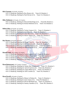# **Rick Fausone:** (#3 header, #4 heeler)

#10 1/2 Handicap, Heeling for Roy Branco (4) . Team 43, Rotation 1.

#10 1/2 Handicap, Heeling for Paul Devine (2.5) . Team 112, Rotation 2.

# **Riley Robinson:** (#2 header, #2.5 heeler)

#10 1/2 Handicap, Heeling for Howard Hutchings (3.5) . Team 86, Rotation 2. #10 1/2 Handicap, Heeling for Kelson Robinson (4.5) . Team 134, Rotation 2.

# **Robert Rita:** (#3 header, #2.5 heeler)

#10 1/2 Handicap, Heeling for Tucker Gomes (2.5) . Team 12, Rotation 1.

#10 1/2 Handicap, Heeling for Levi Rita (3) . Team 34, Rotation 1.

#10 1/2 Handicap, Heeling for Chaz Rita (3.5) . Team 119, Rotation 2.

#10 1/2 Handicap, Heeling for Shawn Aguiar (3) . Team 191, Rotation 3.

# **Roy Branco:** (#4 header, #4 heeler)

#10 1/2 Handicap, Heading for Monty Crist (5). Team 16, Rotation 1.

#10 1/2 Handicap, Heading for Rick Fausone (4) . Team 43, Rotation 1.

#10 1/2 Handicap, Heading for Anselmo Ramirez (5) . Team 79, Rotation 2.

#10 1/2 Handicap, Heading for Rhett Kennedy (5.5). Team 120, Rotation 2.

# **Russell Funk:** (#4.5 header, #5.5 heeler)

#10 1/2 Handicap, Heeling for Curtis English (3.5). Team 20, Rotation 1.

#10 1/2 Handicap, Heeling for Caden Lehman (4.5) . Team 60, Rotation 1.

#10 1/2 Handicap, Heeling for Todd York (3.5). Team 102, Rotation 2.

#10 1/2 Handicap, Heeling for Jim Estill (3.5) . Team 129, Rotation 2.

# **Ryan Bettencourt:** (#3.5 header, #3 heeler)

#10 1/2 Handicap, Heading for Stoney Boy Joseph (4.5) . Team 151, Rotation 3.

#10 1/2 Handicap, Heading for Anival Guerrero (5) . Team 162, Rotation 3.

#10 1/2 Handicap, Heading for Chase Helton (4.5) . Team 179, Rotation 3.

#10 1/2 Handicap, Heading for Will Cowden (5) . Team 193, Rotation 3.

# **Ryan Powell:** (#4 header, #5 heeler)

#10 1/2 Handicap, Heeling for Monty Jo Petska (5) . Team 15, Rotation 1.

#10 1/2 Handicap, Heeling for Jason Jones (3.5) . Team 96, Rotation 2.

#10 1/2 Handicap, Heeling for Devon McDaniel (4) . Team 152, Rotation 3.

#10 1/2 Handicap, Heeling for Sammy Saunders (3.5) . Team 185, Rotation 3.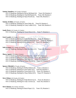# **Sammy Saunders:** (#3.5 header, #4 heeler)

#10 1/2 Handicap, Heeling for Devon McDaniel (4) . Team 130, Rotation 2. #10 1/2 Handicap, Heading for Chad McDaniel (5) . Team 150, Rotation 2. #10 1/2 Handicap, Heading for Ryan Powell (5) . Team 185, Rotation 3.

# **Sammy Jo Duby:** (#3 header, #2 heeler)

#10 1/2 Handicap, Heading for Jason Duby (6) . Team 95, Rotation 2. #10 1/2 Handicap, Heading for Casey Ladner (4.5) . Team 184, Rotation 3.

# **Sandy Perez:** (#2.5 header, #1.5 heeler)

#10 1/2 Handicap, Heading for Tyson Perez (3.5) . Team 77, Rotation 2.

# **Scott Lauaki:** (#3.5 header, #3.5 heeler)

#10 1/2 Handicap, Heeling for Justin Fowden (4.5). Team 28, Rotation 1. #10 1/2 Handicap, Heeling for Howard Hutchings (3.5). Team 56, Rotation 1. #10 1/2 Handicap, Heeling for Jace Hanks (3.5) . Team 170, Rotation 3.

# Seth Sweeney: (#2.5 header, #2.5 heeler)

#10 1/2 Handicap, Heeling for Mike Sweeney (2.5). Team 141, Rotation 2.

# **Shawn Aguiar:** (#3 header, #3 heeler)

#10 1/2 Handicap, Heeling for Levi Rita (3). Team 147, Rotation 2.

#10 1/2 Handicap, Heeling for Chris Awa (3) . Team 165, Rotation 3.

#10 1/2 Handicap, Heeling for TBA TBA (1). Team 176, Rotation 3.

#10 1/2 Handicap, Heading for Robert Rita (2.5) . Team 191, Rotation 3.

# **Spencer Mitchell:** (#7 header, #6 heeler)

#10 1/2 Handicap, Heeling for Bobby Roberts (4) . Team 1, Rotation 1.

#10 1/2 Handicap, Heeling for Jason Duby (4.5) . Team 66, Rotation 1.

#10 1/2 Handicap, Heeling for Tyson Perez (3.5) . Team 132, Rotation 2.

#10 1/2 Handicap, Heeling for Chase Helton (4.5) . Team 157, Rotation 3.

# **Steve Gilson:** (#4.5 header, #4.5 heeler)

#10 1/2 Handicap, Heeling for Wade Bertsch (2.5) . Team 10, Rotation 1. #10 1/2 Handicap, Heeling for Cody Cravens (3) . Team 183, Rotation 3.

# **Steve Simons:** (#3.5 header, #4 heeler)

#10 1/2 Handicap, Heeling for Butch Pope (1.5) . Team 135, Rotation 2.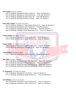# **Steve Smith:** (#4 header, #4 heeler)

#10 1/2 Handicap, Heading for Will Cowden (5) . Team 136, Rotation 2.

#10 1/2 Handicap, Heading for Cliff Garrison (3) . Team 168, Rotation 3.

#10 1/2 Handicap, Heading for Justin Geney (5) . Team 186, Rotation 3.

#10 1/2 Handicap, Heading for Monty Crist (5) . Team 197, Rotation 3.

# **Stoney Boy Joseph:** (#3.5 header, #4.5 heeler)

#10 1/2 Handicap, Heeling for Chase Kahiau Onaka (3.5) . Team 18, Rotation 1.

#10 1/2 Handicap, Heeling for Cole Clement (3) . Team 68, Rotation 1.

#10 1/2 Handicap, Heading for Monty Jo Petska (6) . Team 98, Rotation 2.

#10 1/2 Handicap, Heeling for Ryan Bettencourt (3.5) . Team 151, Rotation 3.

# Tanner Patzke: (#4.5 header, #4 heeler)

#10 1/2 Handicap, Heading for Casey Awbrey (5). Team 26, Rotation 1. #10 1/2 Handicap, Heading for Quade Patzke (5.5). Team 54, Rotation 1.

# **Tanner Smith:** (#4.5 header, #4.5 heeler)

#10 1/2 Handicap, Heading for Tristan Luther (4.5). Team 37, Rotation 1. #10 1/2 Handicap, Heeling for JT Bradley (3.5). Team 159, Rotation 3.

# **Tayler Felton:** (#3 header, #2 heeler)

#10 1/2 Handicap, Heading for Clint Felton (4.5). Team 83, Rotation 2.

# **TBA TBA:** (#1 header, #1 heeler)

#10 1/2 Handicap, Heeling for Mark Moreland (2.5). Team 156, Rotation 3. #10 1/2 Handicap, Heading for Shawn Aguiar (3) . Team 176, Rotation 3. #10 1/2 Handicap, Heeling for Mark Moreland (2.5). Team 190, Rotation 3. #10 1/2 Handicap, Heeling for Mark Moreland (2.5) . Team 199, Rotation 3.

# **TC Hammack:** (#3.5 header, #3.5 heeler)

#10 1/2 Handicap, Heading for CJ Cash (5) . Team 21, Rotation 1. #10 1/2 Handicap, Heading for Quade Patzke (5.5) . Team 110, Rotation 2.

# **Ted Williams:** (#3 header, #3.5 heeler)

#10 1/2 Handicap, Heeling for Carson Williams (3) . Team 47, Rotation 1.

#10 1/2 Handicap, Heeling for Colton Daniel (2.5) . Team 118, Rotation 2.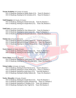# **Terynn Archuleta:** (#3.5 header, #2.5 heeler)

#10 1/2 Handicap, Heading for Bobby Butler (2.5) . Team 25, Rotation 1. #10 1/2 Handicap, Heading for Ed Archuleta (2.5) . Team 52, Rotation 1.

# **Todd Hampton:** (#4.5 header, #5.5 heeler)

#10 1/2 Handicap, Heeling for Daniel Green (6) . Team 42, Rotation 1. #10 1/2 Handicap, Heeling for Joseph Rossi (3.5) . Team 158, Rotation 3.

# **Todd York:** (#3.5 header, #3.5 heeler)

#10 1/2 Handicap, Heading for Glen Nelson (4.5) . Team 36, Rotation 1.

#10 1/2 Handicap, Heading for Justin Geney (5) . Team 75, Rotation 1.

#10 1/2 Handicap, Heading for Russell Funk (5.5) . Team 102, Rotation 2.

# **Tommy Lee:** (#4 header, #4.5 heeler)

#10 1/2 Handicap, Heading for Garrett Jepson (5). Team 62, Rotation 1. #10 1/2 Handicap, Heeling for Denton Williams (3). Team 100, Rotation 2. #10 1/2 Handicap, Heading for Noah Williams (4.5). Team 160, Rotation 3.

# **Travis Stewart:** (#5 header, #5 heeler)

#10  $1/2$  Handicap, Heeling for Keith Johnson (3). Team 19, Rotation 1. #10 1/2 Handicap, Heeling for Jim Estill (3.5) . Team 142, Rotation 2.

# **Travis Thom:** (#4 header, #3.5 heeler)

#10 1/2 Handicap, Heading for Justin Geney (5) . Team 103, Rotation 2. #10 1/2 Handicap, Heading for Matt Hussman (4.5). Team 128, Rotation 2.

# **Tristan Luther:** (#4 header, #4.5 heeler)

#10 1/2 Handicap, Heeling for Paul Devine (2.5). Team 9, Rotation 1.

#10 1/2 Handicap, Heeling for Tanner Smith (4.5) . Team 37, Rotation 1.

#10 1/2 Handicap, Heeling for Justin Stacy (3.5) . Team 88, Rotation 2.

#10 1/2 Handicap, Heeling for Bobby Roberts (4) . Team 114, Rotation 2.

# **Tucker Alexander:** (#3 header, #3 heeler)

#10 1/2 Handicap, Heeling for Joseph Rossi (3.5) . Team 50, Rotation 1.

#10 1/2 Handicap, Heeling for Jeremy Simonich (4) . Team 131, Rotation 2.

#10 1/2 Handicap, Heeling for JT Bradley (3.5) . Team 143, Rotation 2.

#10 1/2 Handicap, Heeling for Alex Vigil (2.5) . Team 194, Rotation 3.